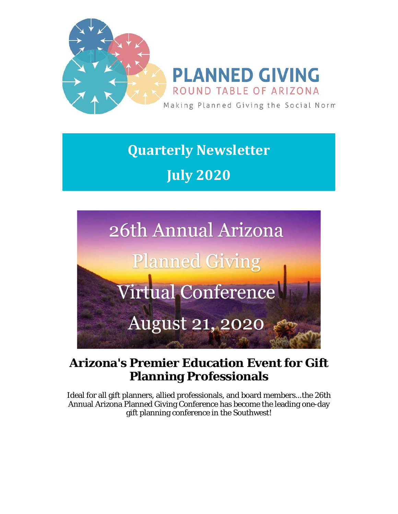

**Quarterly Newsletter July 2020**



### **Arizona's Premier Education Event for Gift Planning Professionals**

Ideal for all gift planners, allied professionals, and board members...the 26th Annual Arizona Planned Giving Conference has become the leading one-day gift planning conference in the Southwest!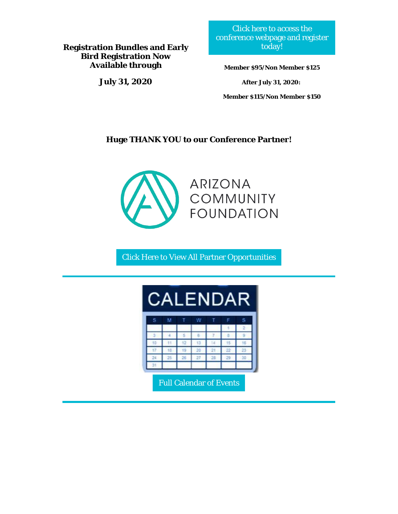**Registration Bundles and Early Bird Registration Now Available through** 

**July 31, 2020**

[Click here to access the](https://pgrtaz.org/page-1848517)  [conference webpage and register](https://pgrtaz.org/page-1848517)  [today!](https://pgrtaz.org/page-1848517) 

**Member \$95/Non Member \$125**

**After July 31, 2020:**

**Member \$115/Non Member \$150**

#### **Huge THANK YOU to our Conference Partner!**



[Click Here to View All Partner Opportunities](https://pgrtaz.org/page-1366449) 

| DAR<br>$\mathcal{A}$<br>⊢<br><b>VI</b> |          |  |    |    |  |   |
|----------------------------------------|----------|--|----|----|--|---|
| Ś                                      | <b>O</b> |  |    |    |  | Ŝ |
|                                        |          |  |    |    |  |   |
|                                        |          |  |    |    |  |   |
|                                        |          |  |    |    |  |   |
|                                        |          |  |    |    |  |   |
|                                        |          |  | 22 | 28 |  |   |
|                                        |          |  |    |    |  |   |

[Full Calendar of Events](https://pgrtaz.org/page-974657)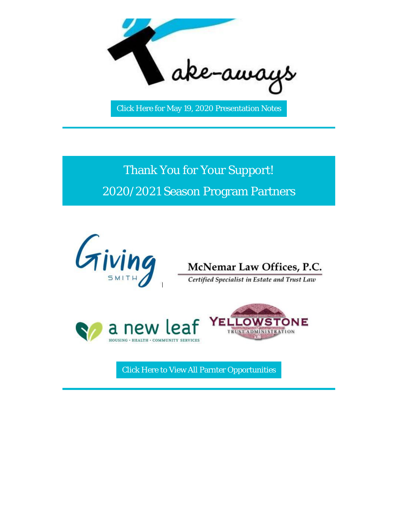

[Click Here for May 19, 2020 Presentation Notes](https://pgrtaz.org/resources/Documents/Member%20Meetings/2019-2020/20200519/PGRTAZ%20Virtual%20Session%20Notes%20-%20May%2019,%202020%2012_06_12.pdf) 

Thank You for Your Support! 2020/2021 Season Program Partners









[Click Here to View All Parnter Opportunities](https://pgrtaz.org/page-1366449)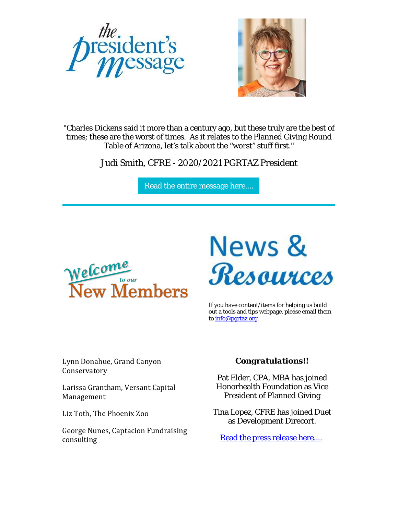



"Charles Dickens said it more than a century ago, but these truly are the best of times; these are the worst of times. As it relates to the Planned Giving Round Table of Arizona, let's talk about the "worst" stuff first."

Judi Smith, CFRE - 2020/2021 PGRTAZ President

[Read the entire message here....](https://pgrtaz.org/resources/Documents/Newsletters/2020%202nd%20Quarter/PresidentMessage.pdf) 



# News &<br>Resources

If you have content/items for helping us build out a tools and tips webpage, please email them to [info@pgrtaz.org.](mailto:info@pgrtaz.org)

Lynn Donahue, Grand Canyon Conservatory

Larissa Grantham, Versant Capital Management

Liz Toth, The Phoenix Zoo

George Nunes, Captacion Fundraising consulting

#### *Congratulations!!*

Pat Elder, CPA, MBA has joined Honorhealth Foundation as Vice President of Planned Giving

Tina Lopez, CFRE has joined Duet as Development Direcort.

[Read the press release here....](https://pgrtaz.org/resources/Documents/Newsletters/2020%202nd%20Quarter/TINA%20LOPEZ%20HIRE.pdf)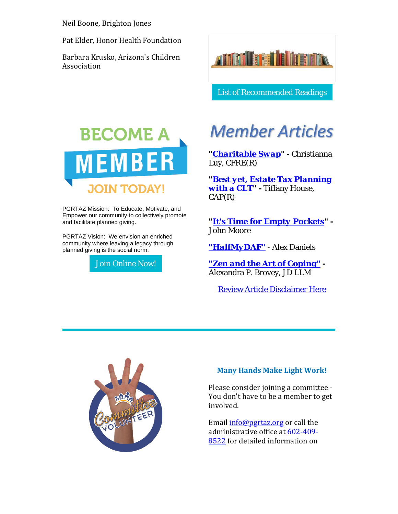Neil Boone, Brighton Jones

Pat Elder, Honor Health Foundation

Barbara Krusko, Arizona's Children Association



PGRTAZ Mission: To Educate, Motivate, and Empower our community to collectively promote and facilitate planned giving.

PGRTAZ Vision: We envision an enriched community where leaving a legacy through planned giving is the social norm.

[Join Online Now!](https://pgrtaz.org/page-985495) 



[List of Recommended Readings](https://pgrtaz.org/resources/Documents/Newsletters/CAP%20Books.pdf) 

## **Member Articles**

*["Charitable Swap"](https://pgrtaz.org/resources/Documents/Newsletters/2020%202nd%20Quarter/C.%20Luy%20-%20Charitable%20Swap%20Article%20-%20June%202020.pdf)* - Christianna Luy, CFRE(R)

*["Best yet, Estate Tax Planning](https://pgrtaz.org/resources/Documents/Newsletters/2020%202nd%20Quarter/CLT%20Article%20for%20NP%20June%202020.pdf)  [with a CLT"](https://pgrtaz.org/resources/Documents/Newsletters/2020%202nd%20Quarter/CLT%20Article%20for%20NP%20June%202020.pdf) -* Tiffany House, CAP(R)

*["It's Time for Empty Pockets"](https://www.johnmoore.com/2020/05/07/its-time-for-empty-pockets) -* John Moore

*["HalfMyDAF"](https://pgrtaz.org/resources/Documents/Newsletters/2020%202nd%20Quarter/halfyourdaf.pdf)* - Alex Daniels

*["Zen and the Art of Coping"](https://pgrtaz.org/resources/Documents/Newsletters/2020%202nd%20Quarter/PGRTAZ%20Zen%20and%20the%20Art%20of%20Coping.pdf) -* Alexandra P. Brovey, JD LLM

[Review Article Disclaimer Here](https://pgrtaz.org/resources/Documents/Newsletters/2020%202nd%20Quarter/Disclaimer.pdf)



#### **Many Hands Make Light Work!**

Please consider joining a committee - You don't have to be a member to get involved.

Email [info@pgrtaz.org](mailto:info@pgrtaz.org) or call the administrative office at [602-409-](https://pgrtaz.org/dialpad:/602-409-8522) [8522](https://pgrtaz.org/dialpad:/602-409-8522) for detailed information on